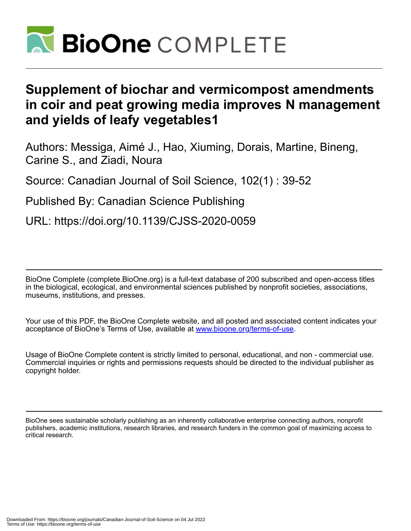

# **Supplement of biochar and vermicompost amendments in coir and peat growing media improves N management and yields of leafy vegetables1**

Authors: Messiga, Aimé J., Hao, Xiuming, Dorais, Martine, Bineng, Carine S., and Ziadi, Noura

Source: Canadian Journal of Soil Science, 102(1) : 39-52

Published By: Canadian Science Publishing

URL: https://doi.org/10.1139/CJSS-2020-0059

BioOne Complete (complete.BioOne.org) is a full-text database of 200 subscribed and open-access titles in the biological, ecological, and environmental sciences published by nonprofit societies, associations, museums, institutions, and presses.

Your use of this PDF, the BioOne Complete website, and all posted and associated content indicates your acceptance of BioOne's Terms of Use, available at www.bioone.org/terms-of-use.

Usage of BioOne Complete content is strictly limited to personal, educational, and non - commercial use. Commercial inquiries or rights and permissions requests should be directed to the individual publisher as copyright holder.

BioOne sees sustainable scholarly publishing as an inherently collaborative enterprise connecting authors, nonprofit publishers, academic institutions, research libraries, and research funders in the common goal of maximizing access to critical research.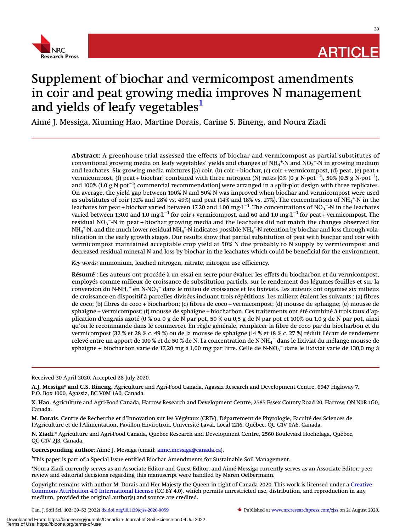

# **ARTICLE**

# Supplement of biochar and vermicompost amendments in coir and peat growing media improves N management and yields of leafy vegetables<sup>[1](#page-1-0)</sup>

Aimé J. Messiga, Xiuming Hao, Martine Dorais, Carine S. Bineng, and Noura Ziadi

Abstract: A greenhouse trial assessed the effects of biochar and vermicompost as partial substitutes of conventional growing media on leafy vegetables' yields and changes of NH<sub>4</sub><sup>+</sup>-N and NO<sub>3</sub><sup>--</sup>N in growing medium and leachates. Six growing media mixtures [(a) coir, (b) coir + biochar, (c) coir + vermicompost, (d) peat, (e) peat + vermicompost, (f) peat + biochar] combined with three nitrogen (N) rates [0% (0 g N·pot $^{-1}$ ), 50% (0.5 g N·pot $^{-1}$ ), and 100% (1.0 g N·pot−<sup>1</sup> ) commercial recommendation] were arranged in a split-plot design with three replicates. On average, the yield gap between 100% N and 50% N was improved when biochar and vermicompost were used as substitutes of coir (32% and 28% vs. 49%) and peat (14% and 18% vs. 27%). The concentrations of NH $_4^{\ast}$ -N in the leachates for peat + biochar varied between 17.20 and 1.00  $mg\cdot L^{-1}$ . The concentrations of NO3 $^{-}$ -N in the leachates varied between 130.0 and 1.0 mg·L−<sup>1</sup> for coir + vermicompost, and 60 and 1.0 mg·L−<sup>1</sup> for peat + vermicompost. The residual NO $_3^{\texttt{-}}$ -N in peat + biochar growing media and the leachates did not match the changes observed for  $\rm NH_4$ \*-N, and the much lower residual NH $_4$ \*-N indicates possible NH $_4$ \*-N retention by biochar and loss through volatilization in the early growth stages. Our results show that partial substitution of peat with biochar and coir with vermicompost maintained acceptable crop yield at 50% N due probably to N supply by vermicompost and decreased residual mineral N and loss by biochar in the leachates which could be beneficial for the environment.

Key words: ammonium, leached nitrogen, nitrate, nitrogen use efficiency.

Résumé : Les auteurs ont procédé à un essai en serre pour évaluer les effets du biocharbon et du vermicompost, employés comme milieux de croissance de substitution partiels, sur le rendement des légumes-feuilles et sur la conversion du N-NH<sub>4</sub><sup>+</sup> en N-NO<sub>3</sub><sup>–</sup> dans le milieu de croissance et les lixiviats. Les auteurs ont organisé six milieux de croissance en dispositif à parcelles divisées incluant trois répétitions. Les milieux étaient les suivants : (a) fibres de coco; (b) fibres de coco + biocharbon; (c) fibres de coco + vermicompost; (d) mousse de sphaigne; (e) mousse de sphaigne + vermicompost; (f) mousse de sphaigne + biocharbon. Ces traitements ont été combiné à trois taux d'application d'engrais azoté (0 % ou 0 g de N par pot, 50 % ou 0,5 g de N par pot et 100% ou 1,0 g de N par pot, ainsi qu'on le recommande dans le commerce). En règle générale, remplacer la fibre de coco par du biocharbon et du vermicompost (32 % et 28 % c. 49 %) ou de la mousse de sphaigne (14 % et 18 % c. 27 %) réduit l'écart de rendement relevé entre un apport de 100 % et de 50 % de N. La concentration de N-NH<sub>4</sub> $^-\$  dans le lixiviat du mélange mousse de sphaigne + biocharbon varie de 17,20 mg à 1,00 mg par litre. Celle de N-NO $_3^-$  dans le lixiviat varie de 130,0 mg à

Received 30 April 2020. Accepted 28 July 2020.

A.J. Messiga\* and C.S. Bineng. Agriculture and Agri-Food Canada, Agassiz Research and Development Centre, 6947 Highway 7, P.O. Box 1000, Agassiz, BC V0M 1A0, Canada.

X. Hao. Agriculture and Agri-Food Canada, Harrow Research and Development Centre, 2585 Essex County Road 20, Harrow, ON N0R 1G0, Canada.

M. Dorais. Centre de Recherche et d'Innovation sur les Végétaux (CRIV), Département de Phytologie, Faculté des Sciences de l'Agriculture et de l'Alimentation, Pavillon Envirotron, Université Laval, Local 1216, Québec, QC G1V 0A6, Canada.

N. Ziadi.\* Agriculture and Agri-Food Canada, Quebec Research and Development Centre, 2560 Boulevard Hochelaga, Québec, QC G1V 2J3, Canada.

Corresponding author: Aimé J. Messiga (email: [aime.messiga@canada.ca](mailto:aime.messiga@canada.ca)).

<span id="page-1-0"></span><sup>1</sup>This paper is part of a Special Issue entitled Biochar Amendments for Sustainable Soil Management.

\*Noura Ziadi currently serves as an Associate Editor and Guest Editor, and Aimé Messiga currently serves as an Associate Editor; peer review and editorial decisions regarding this manuscript were handled by Maren Oelbermann.

Copyright remains with author M. Dorais and Her Majesty the Queen in right of Canada 2020. This work is licensed under a [Creative](http://creativecommons.org/license/by/4.0/) [Commons Attribution 4.0 International License](http://creativecommons.org/license/by/4.0/) (CC BY 4.0), which permits unrestricted use, distribution, and reproduction in any medium, provided the original author(s) and source are credited.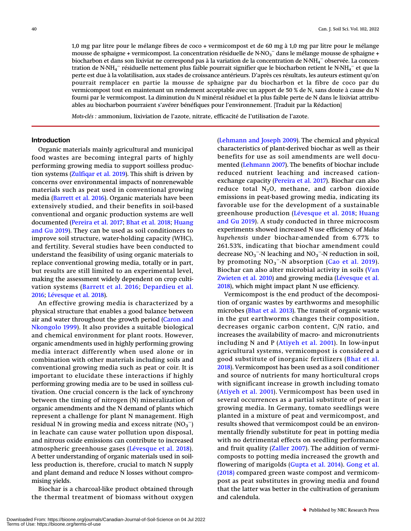1,0 mg par litre pour le mélange fibres de coco + vermicompost et de 60 mg à 1,0 mg par litre pour le mélange mousse de sphaigne + vermicompost. La concentration résiduelle de N-NO3 $^-$  dans le mélange mousse de sphaigne + biocharbon et dans son lixiviat ne correspond pas à la variation de la concentration de N-NH<sub>4</sub> $^-$ observée. La concentration de N-NH4 $^-$  résiduelle nettement plus faible pourrait signifier que le biocharbon retient le N-NH4 $^-$  et que la perte est due à la volatilisation, aux stades de croissance antérieurs. D'après ces résultats, les auteurs estiment qu'on pourrait remplacer en partie la mousse de sphaigne par du biocharbon et la fibre de coco par du vermicompost tout en maintenant un rendement acceptable avec un apport de 50 % de N, sans doute à cause du N fourni par le vermicompost. La diminution du N minéral résiduel et la plus faible perte de N dans le lixiviat attribuables au biocharbon pourraient s'avérer bénéfiques pour l'environnement. [Traduit par la Rédaction]

Mots-clés : ammonium, lixiviation de l'azote, nitrate, efficacité de l'utilisation de l'azote.

### **Introduction**

Organic materials mainly agricultural and municipal food wastes are becoming integral parts of highly performing growing media to support soilless production systems ([Zulfiqar et al. 2019\)](#page-14-0). This shift is driven by concerns over environmental impacts of nonrenewable materials such as peat used in conventional growing media [\(Barrett et al. 2016\)](#page-13-0). Organic materials have been extensively studied, and their benefits in soil-based conventional and organic production systems are well documented ([Pereira et al. 2017;](#page-14-1) [Bhat et al. 2018](#page-13-1); [Huang](#page-14-2) [and Gu 2019\)](#page-14-2). They can be used as soil conditioners to improve soil structure, water-holding capacity (WHC), and fertility. Several studies have been conducted to understand the feasibility of using organic materials to replace conventional growing media, totally or in part, but results are still limited to an experimental level, making the assessment widely dependent on crop cultivation systems ([Barrett et al. 2016;](#page-13-0) [Depardieu et al.](#page-14-3) [2016](#page-14-3); [Lévesque et al. 2018](#page-14-4)).

An effective growing media is characterized by a physical structure that enables a good balance between air and water throughout the growth period [\(Caron and](#page-14-5) [Nkongolo 1999\)](#page-14-5). It also provides a suitable biological and chemical environment for plant roots. However, organic amendments used in highly performing growing media interact differently when used alone or in combination with other materials including soils and conventional growing media such as peat or coir. It is important to elucidate these interactions if highly performing growing media are to be used in soilless cultivation. One crucial concern is the lack of synchrony between the timing of nitrogen (N) mineralization of organic amendments and the N demand of plants which represent a challenge for plant N management. High residual N in growing media and excess nitrate  $(\mathrm{NO_3}^-)$ in leachate can cause water pollution upon disposal, and nitrous oxide emissions can contribute to increased atmospheric greenhouse gases ([Lévesque et al. 2018\)](#page-14-4). A better understanding of organic materials used in soilless production is, therefore, crucial to match N supply and plant demand and reduce N losses without compromising yields.

Biochar is a charcoal-like product obtained through the thermal treatment of biomass without oxygen

([Lehmann and Joseph 2009\)](#page-14-6). The chemical and physical characteristics of plant-derived biochar as well as their benefits for use as soil amendments are well documented ([Lehmann 2007](#page-14-7)). The benefits of biochar include reduced nutrient leaching and increased cationexchange capacity ([Pereira et al. 2017\)](#page-14-1). Biochar can also reduce total  $N_2O$ , methane, and carbon dioxide emissions in peat-based growing media, indicating its favorable use for the development of a sustainable greenhouse production ([Lévesque et al. 2018](#page-14-4); [Huang](#page-14-2) [and Gu 2019\)](#page-14-2). A study conducted in three microcosm experiments showed increased N use efficiency of Malus hupehensis under biochar-amended from 6.77% to 261.53%, indicating that biochar amendment could decrease  $NO_3^-$ -N leaching and  $NO_3^-$ -N reduction in soil, by promoting  $NO_3$ <sup>-</sup>-N absorption ([Cao et al. 2019\)](#page-14-8). Biochar can also alter microbial activity in soils ([Van](#page-14-9) [Zwieten et al. 2010\)](#page-14-9) and growing media [\(Lévesque et al.](#page-14-4) [2018](#page-14-4)), which might impact plant N use efficiency.

Vermicompost is the end product of the decomposition of organic wastes by earthworms and mesophilic microbes [\(Bhat et al. 2013\)](#page-13-2). The transit of organic waste in the gut earthworms changes their composition, decreases organic carbon content, C/N ratio, and increases the availability of macro- and micronutrients including N and P ([Atiyeh et al. 2001\)](#page-13-3). In low-input agricultural systems, vermicompost is considered a good substitute of inorganic fertilizers ([Bhat et al.](#page-13-1) [2018](#page-13-1)). Vermicompost has been used as a soil conditioner and source of nutrients for many horticultural crops with significant increase in growth including tomato ([Atiyeh et al. 2001\)](#page-13-3). Vermicompost has been used in several occurrences as a partial substitute of peat in growing media. In Germany, tomato seedlings were planted in a mixture of peat and vermicompost, and results showed that vermicompost could be an environmentally friendly substitute for peat in potting media with no detrimental effects on seedling performance and fruit quality ([Zaller 2007](#page-14-10)). The addition of vermicomposts to potting media increased the growth and flowering of marigolds ([Gupta et al. 2014](#page-14-11)). [Gong et al.](#page-14-12) [\(2018\)](#page-14-12) compared green waste compost and vermicompost as peat substitutes in growing media and found that the latter was better in the cultivation of geranium and calendula.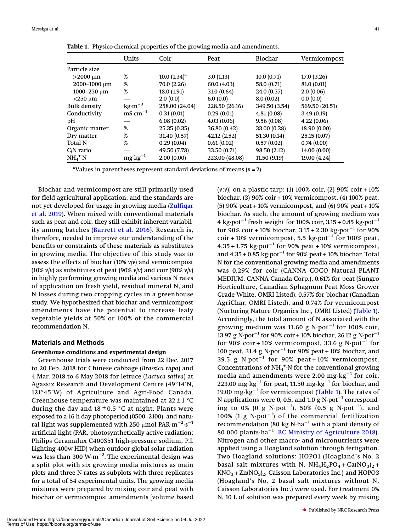|                     | Units                           | Coir            | Peat           | Biochar       | Vermicompost   |
|---------------------|---------------------------------|-----------------|----------------|---------------|----------------|
| Particle size       |                                 |                 |                |               |                |
| $>$ 2000 µm         | %                               | 10.0 $(1.34)^a$ | 3.0(1.13)      | 10.0(0.71)    | 17.0(3.26)     |
| $2000 - 1000 \mu m$ | %                               | 70.0 (2.26)     | 60.0(4.03)     | 58.0 (0.71)   | 81.0 (0.01)    |
| 1000-250 µm         | %                               | 18.0(1.91)      | 31.0(0.64)     | 24.0 (0.57)   | 2.0(0.06)      |
| $<$ 250 $\mu$ m     |                                 | 2.0(0.0)        | 6.0(0.0)       | 8.0(0.02)     | 0.0(0.0)       |
| Bulk density        | $\text{kg} \cdot \text{m}^{-3}$ | 258.00 (24.04)  | 228.50 (26.16) | 349.50 (3.54) | 569.50 (20.51) |
| Conductivity        | $mS·cm^{-1}$                    | 0.31(0.01)      | 0.29(0.01)     | 4.81(0.08)    | 3.49(0.19)     |
| pН                  |                                 | 6.08(0.02)      | 4.03(0.06)     | 9.56(0.08)    | 4.22(0.06)     |
| Organic matter      | %                               | 25.35(0.35)     | 36.80 (0.42)   | 33.00 (0.28)  | 18.90 (0.00)   |
| Dry matter          | %                               | 31.40 (0.57)    | 42.12 (2.52)   | 51.30 (0.14)  | 25.15(0.07)    |
| Total N             | %                               | 0.29(0.04)      | 0.61(0.02)     | 0.57(0.02)    | 0.74(0.00)     |
| $C/N$ ratio         |                                 | 49.50 (7.78)    | 33.50 (0.71)   | 98.50 (2.12)  | 14.00 (0.00)   |
| $NH_4^+$ -N         | $mg \cdot kg^{-1}$              | 2.00(0.00)      | 223.00 (48.08) | 11.50(9.19)   | 19.00 (4.24)   |

<span id="page-3-0"></span>Table 1. Physico-chemical properties of the growing media and amendments.

"Values in parentheses represent standard deviations of means  $(n = 2)$ .

Biochar and vermicompost are still primarily used for field agricultural application, and the standards are not yet developed for usage in growing media [\(Zulfiqar](#page-14-0) [et al. 2019](#page-14-0)). When mixed with conventional materials such as peat and coir, they still exhibit inherent variability among batches ([Barrett et al. 2016\)](#page-13-0). Research is, therefore, needed to improve our understanding of the benefits or constraints of these materials as substitutes in growing media. The objective of this study was to assess the effects of biochar (10%  $v/v$ ) and vermicompost (10%  $v/v$ ) as substitutes of peat (90%  $v/v$ ) and coir (90%  $v/v$ ) in highly performing growing media and various N rates of application on fresh yield, residual mineral N, and N losses during two cropping cycles in a greenhouse study. We hypothesized that biochar and vermicompost amendments have the potential to increase leafy vegetable yields at 50% or 100% of the commercial recommendation N.

## Materials and Methods

#### Greenhouse conditions and experimental design

Greenhouse trials were conducted from 22 Dec. 2017 to 20 Feb. 2018 for Chinese cabbage (Brassica rapa) and 4 Mar. 2018 to 6 May 2018 for lettuce (Lactuca sativa) at Agassiz Research and Development Centre (49°14′N, 121°45′W) of Agriculture and Agri-Food Canada. Greenhouse temperature was maintained at  $22 \pm 1$  °C during the day and  $18 \pm 0.5$  °C at night. Plants were exposed to a 16 h day photoperiod (0500–2100), and natural light was supplemented with 250  $\mu$ mol PAR·m $^{-2}\cdot$ s $^{-1}$ artificial light (PAR, photosynthetically active radiation; Philips Ceramalux C400S51 high-pressure sodium, P.L Lighting 400w HID) when outdoor global solar radiation was less than 300 W $\cdot$ m $^{-2}$ . The experimental design was a split plot with six growing media mixtures as main plots and three N rates as subplots with three replicates for a total of 54 experimental units. The growing media mixtures were prepared by mixing coir and peat with biochar or vermicompost amendments [volume based

(v:v)] on a plastic tarp: (1) 100% coir, (2) 90% coir + 10% biochar, (3) 90% coir + 10% vermicompost, (4) 100% peat, (5) 90% peat + 10% vermicompost, and (6) 90% peat + 10% biochar. As such, the amount of growing medium was 4 kg·pot<sup>-1</sup> fresh weight for 100% coir,  $3.15 + 0.85$  kg·pot<sup>-1</sup> for 90% coir + 10% biochar,  $3.15 + 2.30$  kg·pot<sup>-1</sup> for 90%  $\cot r$  + 10% vermicompost, 5.5 kg⋅pot<sup>-1</sup> for 100% peat,  $4.35 + 1.75 \text{ kg} \cdot \text{pot}^{-1}$  for 90% peat + 10% vermicompost, and 4.35 + 0.85 kg·pot−<sup>1</sup> for 90% peat + 10% biochar. Total N for the conventional growing media and amendments was 0.29% for coir (CANNA COCO Natural PLANT MEDIUM, CANNA Canada Corp.), 0.61% for peat (Sungro Horticulture, Canadian Sphagnum Peat Moss Grower Grade White, OMRI Listed), 0.57% for biochar (Canadian AgriChar, OMRI Listed), and 0.74% for vermicompost (Nurturing Nature Organics Inc., OMRI Listed) ([Table 1\)](#page-3-0). Accordingly, the total amount of N associated with the growing medium was 11.60 g N·pot<sup>-1</sup> for 100% coir, 13.97 g N·pot−<sup>1</sup> for 90% coir + 10% biochar, 26.12 g N·pot−<sup>1</sup> for 90% coir + 10% vermicompost, 33.6 g N·pot<sup>-1</sup> for 100 peat, 31.4 g N·pot<sup>-1</sup> for 90% peat + 10% biochar, and 39.5 g N·pot−<sup>1</sup> for 90% peat + 10% vermicompost. Concentrations of  $NH_4^+$ -N for the conventional growing media and amendments were 2.00 mg⋅kg<sup>-1</sup> for coir, 223.00 mg·kg<sup>-1</sup> for peat, 11.50 mg·kg<sup>-1</sup> for biochar, and 19.00 mg⋅kg<sup>-1</sup> for vermicompost ([Table 1](#page-3-0)). The rates of N applications were 0, 0.5, and 1.0 g N·pot<sup>-1</sup> corresponding to 0% (0 g N·pot $^{-1}$ ), 50% (0.5 g N·pot $^{-1}$ ), and 100% (1 g N·pot−<sup>1</sup> ) of the commercial fertilization recommendation (80 kg N·ha−<sup>1</sup> with a plant density of 80 000 plants·ha<sup>-1</sup>, [BC Ministry of Agriculture 2018\)](#page-13-4). Nitrogen and other macro- and micronutrients were applied using a Hoagland solution through fertigation. Two Hoagland solutions: HOPO1 (Hoagland's No. 2 basal salt mixtures with N,  $NH_4H_2PO_4 + Ca(NO_3)_2 +$  $KNO<sub>3</sub> + Zn(NO<sub>3</sub>)<sub>2</sub>$ , Caisson Laboratories Inc.) and HOPO3 (Hoagland's No. 2 basal salt mixtures without N, Caisson Laboratories Inc.) were used. For treatment 0% N, 10 L of solution was prepared every week by mixing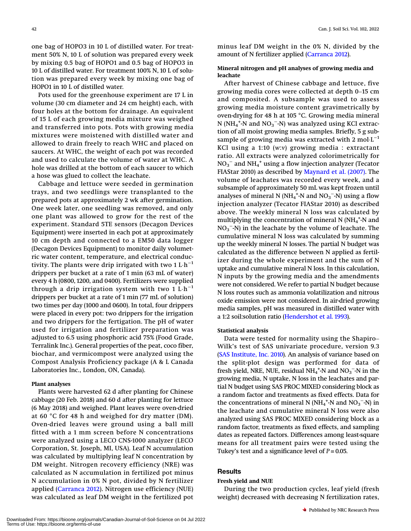one bag of HOPO3 in 10 L of distilled water. For treatment 50% N, 10 L of solution was prepared every week by mixing 0.5 bag of HOPO1 and 0.5 bag of HOPO3 in 10 L of distilled water. For treatment 100% N, 10 L of solution was prepared every week by mixing one bag of HOPO1 in 10 L of distilled water.

Pots used for the greenhouse experiment are 17 L in volume (30 cm diameter and 24 cm height) each, with four holes at the bottom for drainage. An equivalent of 15 L of each growing media mixture was weighed and transferred into pots. Pots with growing media mixtures were moistened with distilled water and allowed to drain freely to reach WHC and placed on saucers. At WHC, the weight of each pot was recorded and used to calculate the volume of water at WHC. A hole was drilled at the bottom of each saucer to which a hose was glued to collect the leachate.

Cabbage and lettuce were seeded in germination trays, and two seedlings were transplanted to the prepared pots at approximately 2 wk after germination. One week later, one seedling was removed, and only one plant was allowed to grow for the rest of the experiment. Standard 5TE sensors (Decagon Devices Equipment) were inserted in each pot at approximately 10 cm depth and connected to a EM50 data logger (Decagon Devices Equipment) to monitor daily volumetric water content, temperature, and electrical conductivity. The plants were drip irrigated with two  $1 \mathrm{L} \cdot \mathrm{h}^{-1}$ drippers per bucket at a rate of 1 min (63 mL of water) every 4 h (0800, 1200, and 0400). Fertilizers were supplied through a drip irrigation system with two 1  $L \cdot h^{-1}$ drippers per bucket at a rate of 1 min (77 mL of solution) two times per day (1000 and 0600). In total, four drippers were placed in every pot: two drippers for the irrigation and two drippers for the fertigation. The pH of water used for irrigation and fertilizer preparation was adjusted to 6.5 using phosphoric acid 75% (Food Grade, Terralink Inc.). General properties of the peat, coco fiber, biochar, and vermicompost were analyzed using the Compost Analysis Proficiency package (A & L Canada Laboratories Inc., London, ON, Canada).

#### Plant analyses

Plants were harvested 62 d after planting for Chinese cabbage (20 Feb. 2018) and 60 d after planting for lettuce (6 May 2018) and weighed. Plant leaves were oven-dried at 60 °C for 48 h and weighed for dry matter (DM). Oven-dried leaves were ground using a ball mill fitted with a 1 mm screen before N concentrations were analyzed using a LECO CNS-1000 analyzer (LECO Corporation, St. Joseph, MI, USA). Leaf N accumulation was calculated by multiplying leaf N concentration by DM weight. Nitrogen recovery efficiency (NRE) was calculated as N accumulation in fertilized pot minus N accumulation in 0% N pot, divided by N fertilizer applied ([Carranca 2012\)](#page-14-13). Nitrogen use efficiency (NUE) was calculated as leaf DM weight in the fertilized pot minus leaf DM weight in the 0% N, divided by the amount of N fertilizer applied ([Carranca 2012\)](#page-14-13).

#### Mineral nitrogen and pH analyses of growing media and leachate

After harvest of Chinese cabbage and lettuce, five growing media cores were collected at depth 0–15 cm and composited. A subsample was used to assess growing media moisture content gravimetrically by oven-drying for 48 h at 105 °C. Growing media mineral N (N $\text{H}_4^{\text{+}}$ -N and N $\text{O}_3^{\text{-}}$ -N) was analyzed using KCl extraction of all moist growing media samples. Briefly, 5 g subsample of growing media was extracted with 2 mol $L^{-1}$ KCl using a 1:10 (w:v) growing media : extractant ratio. All extracts were analyzed colorimetrically for  $NO_3^-$  and  $NH_4^+$  using a flow injection analyzer (Tecator FIAStar 2010) as described by [Maynard et al. \(2007\)](#page-14-14). The volume of leachates was recorded every week, and a subsample of approximately 50 mL was kept frozen until analyses of mineral N (NH<sub>4</sub><sup>+</sup>-N and NO<sub>3</sub><sup>--</sup>N) using a flow injection analyzer (Tecator FIAStar 2010) as described above. The weekly mineral N loss was calculated by multiplying the concentration of mineral N (NH<sub>4</sub><sup>+</sup>-N and  $NO_3$ <sup>-</sup>-N) in the leachate by the volume of leachate. The cumulative mineral N loss was calculated by summing up the weekly mineral N losses. The partial N budget was calculated as the difference between N applied as fertilizer during the whole experiment and the sum of N uptake and cumulative mineral N loss. In this calculation, N inputs by the growing media and the amendments were not considered. We refer to partial N budget because N loss routes such as ammonia volatilization and nitrous oxide emission were not considered. In air-dried growing media samples, pH was measured in distilled water with a 1:2 soil:solution ratio [\(Hendershot et al. 1993](#page-14-15)).

#### Statistical analysis

Data were tested for normality using the Shapiro– Wilk's test of SAS univariate procedure, version 9.3 [\(SAS Institute, Inc. 2010\)](#page-14-16). An analysis of variance based on the split-plot design was performed for data of fresh yield, NRE, NUE, residual  $NH_4^+$ -N and  $NO_3^-$ -N in the growing media, N uptake, N loss in the leachates and partial N budget using SAS PROC MIXED considering block as a random factor and treatments as fixed effects. Data for the concentrations of mineral N (NH<sub>4</sub><sup>+</sup>-N and NO<sub>3</sub><sup>--</sup>N) in the leachate and cumulative mineral N loss were also analyzed using SAS PROC MIXED considering block as a random factor, treatments as fixed effects, and sampling dates as repeated factors. Differences among least-square means for all treatment pairs were tested using the Tukey's test and a significance level of  $P = 0.05$ .

# **Results**

#### Fresh yield and NUE

During the two production cycles, leaf yield (fresh weight) decreased with decreasing N fertilization rates,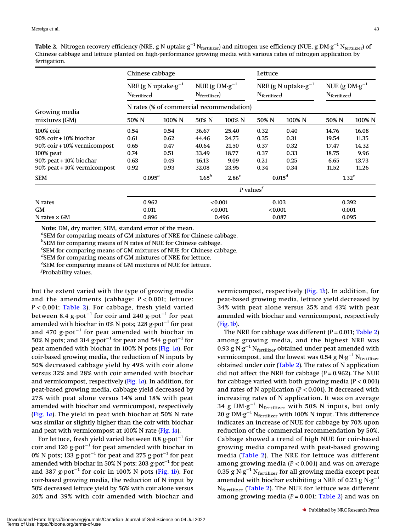<span id="page-5-0"></span>Table 2. Nitrogen recovery efficiency (NRE, g N uptake·g<sup>-1</sup> N<sub>fertilizer</sub>) and nitrogen use efficiency (NUE, g DM·g<sup>-1</sup> N<sub>fertilizer</sub>) of Chinese cabbage and lettuce planted on high-performance growing media with various rates of nitrogen application by fertigation.

|                             | Chinese cabbage                                     |        |                                                     |                   | Lettuce                                                            |        |                                                     |        |  |  |
|-----------------------------|-----------------------------------------------------|--------|-----------------------------------------------------|-------------------|--------------------------------------------------------------------|--------|-----------------------------------------------------|--------|--|--|
|                             | NRE (g N uptake $g^{-1}$<br>$N_{\text{fertilizer}}$ |        | NUE (g $DM \cdot g^{-1}$<br>$N_{\text{fertilizer}}$ |                   | NRE (g N uptake $\cdot$ g <sup>-1</sup><br>$N_{\text{fertilizer}}$ |        | NUE (g $DM \cdot g^{-1}$<br>$N_{\text{fertilizer}}$ |        |  |  |
| Growing media               | N rates (% of commercial recommendation)            |        |                                                     |                   |                                                                    |        |                                                     |        |  |  |
| mixtures (GM)               | 50% N                                               | 100% N | 50% N                                               | 100% N            | 50% N                                                              | 100% N | 50% N                                               | 100% N |  |  |
| 100% coir                   | 0.54                                                | 0.54   | 36.67                                               | 25.40             | 0.32                                                               | 0.40   | 14.76                                               | 16.08  |  |  |
| 90% coir + 10% biochar      | 0.61                                                | 0.62   | 44.46                                               | 24.75             | 0.35                                                               | 0.31   | 19.54                                               | 11.35  |  |  |
| 90% coir + 10% vermicompost | 0.65                                                | 0.47   | 40.64                                               | 21.50             | 0.37                                                               | 0.32   | 17.47                                               | 14.32  |  |  |
| $100\%$ peat                | 0.74                                                | 0.51   | 33.49                                               | 18.77             | 0.37                                                               | 0.33   | 18.75                                               | 9.96   |  |  |
| 90% peat + 10% biochar      | 0.63                                                | 0.49   | 16.13                                               | 9.09              | 0.21                                                               | 0.25   | 6.65                                                | 13.73  |  |  |
| 90% peat + 10% vermicompost | 0.92                                                | 0.93   | 32.08                                               | 23.95             | 0.34                                                               | 0.34   | 11.52                                               | 11.26  |  |  |
| <b>SEM</b>                  | $0.095^a$                                           |        | $1.65^b$                                            | 2.86 <sup>c</sup> | $0.015^d$                                                          |        | $1.32^e$                                            |        |  |  |
|                             |                                                     |        |                                                     |                   | P values <sup>f</sup>                                              |        |                                                     |        |  |  |
| N rates                     | 0.962                                               |        | < 0.001                                             |                   | 0.103                                                              |        | 0.392                                               |        |  |  |
| GM                          | 0.011                                               |        | < 0.001                                             |                   | < 0.001                                                            |        | 0.001                                               |        |  |  |
| N rates $\times$ GM         |                                                     | 0.896  |                                                     | 0.496             |                                                                    | 0.087  |                                                     | 0.095  |  |  |

Note: DM, dry matter; SEM, standard error of the mean.

<sup>a</sup>SEM for comparing means of GM mixtures of NRE for Chinese cabbage.

<sup>b</sup>SEM for comparing means of N rates of NUE for Chinese cabbage.

c SEM for comparing means of GM mixtures of NUE for Chinese cabbage.

d SEM for comparing means of GM mixtures of NRE for lettuce.

e SEM for comparing means of GM mixtures of NUE for lettuce.

f Probability values.

but the extent varied with the type of growing media and the amendments (cabbage:  $P < 0.001$ ; lettuce: P < 0.001; [Table 2\)](#page-5-0). For cabbage, fresh yield varied between 8.4 g·pot−<sup>1</sup> for coir and 240 g·pot−<sup>1</sup> for peat amended with biochar in 0% N pots; 228 g·pot<sup>-1</sup> for peat and 470 g·pot−<sup>1</sup> for peat amended with biochar in 50% N pots; and 314 g·pot<sup>-1</sup> for peat and 544 g·pot<sup>-1</sup> for peat amended with biochar in 100% N pots [\(Fig. 1](#page-6-0)a). For coir-based growing media, the reduction of N inputs by 50% decreased cabbage yield by 49% with coir alone versus 32% and 28% with coir amended with biochar and vermicompost, respectively ([Fig. 1](#page-6-0)a). In addition, for peat-based growing media, cabbage yield decreased by 27% with peat alone versus 14% and 18% with peat amended with biochar and vermicompost, respectively ([Fig. 1](#page-6-0)a). The yield in peat with biochar at 50% N rate was similar or slightly higher than the coir with biochar and peat with vermicompost at 100% N rate ([Fig. 1](#page-6-0)a).

For lettuce, fresh yield varied between 0.8 g·pot<sup>-1</sup> for coir and 120 g·pot<sup>-1</sup> for peat amended with biochar in 0% N pots; 133 g·pot<sup>-1</sup> for peat and 275 g·pot<sup>-1</sup> for peat amended with biochar in 50% N pots; 203 g·pot<sup>-1</sup> for peat and 387 g·pot−<sup>1</sup> for coir in 100% N pots [\(Fig. 1](#page-6-0)b). For coir-based growing media, the reduction of N input by 50% decreased lettuce yield by 56% with coir alone versus 20% and 39% with coir amended with biochar and

vermicompost, respectively ([Fig. 1](#page-6-0)b). In addition, for peat-based growing media, lettuce yield decreased by 34% with peat alone versus 25% and 43% with peat amended with biochar and vermicompost, respectively [\(Fig. 1](#page-6-0)b).

The NRE for cabbage was different  $(P = 0.011;$  [Table 2](#page-5-0)) among growing media, and the highest NRE was 0.93 g N·g<sup>-1</sup> N<sub>fertilizer</sub> obtained under peat amended with vermicompost, and the lowest was 0.54 g N·g<sup>-1</sup> N<sub>fertilizer</sub> obtained under coir [\(Table 2](#page-5-0)). The rates of N application did not affect the NRE for cabbage  $(P = 0.962)$ . The NUE for cabbage varied with both growing media ( $P < 0.001$ ) and rates of N application ( $P < 0.001$ ). It decreased with increasing rates of N application. It was on average 34 g DM·g<sup>-1</sup> N<sub>fertilizer</sub> with 50% N inputs, but only 20 g DM·g<sup>-1</sup> N<sub>fertilizer</sub> with 100% N input. This difference indicates an increase of NUE for cabbage by 70% upon reduction of the commercial recommendation by 50%. Cabbage showed a trend of high NUE for coir-based growing media compared with peat-based growing media ([Table 2](#page-5-0)). The NRE for lettuce was different among growing media ( $P < 0.001$ ) and was on average 0.35 g N·g<sup>-1</sup> N<sub>fertilizer</sub> for all growing media except peat amended with biochar exhibiting a NRE of 0.23 g N·g<sup>-1</sup> N<sub>fertilizer</sub> ([Table 2\)](#page-5-0). The NUE for lettuce was different among growing media ( $P = 0.001$ ; [Table 2](#page-5-0)) and was on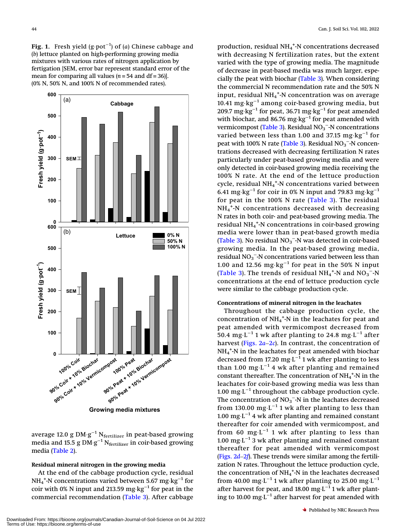<span id="page-6-0"></span>**Fig. 1.** Fresh yield (g∙pot $^{-1}$ ) of (a) Chinese cabbage and (b) lettuce planted on high-performing growing media mixtures with various rates of nitrogen application by fertigation [SEM, error bar represent standard error of the mean for comparing all values  $(n = 54$  and  $df = 36$ ]. (0% N, 50% N, and 100% N of recommended rates).



average 12.0 g DM $\cdot$ g $^{-1}$  N $_{\rm{fertilizer}}$  in peat-based growing media and 15.5 g DM $\cdot$ g $^{-1}$  N $_{\rm{fertilizer}}$  in coir-based growing media ([Table 2\)](#page-5-0).

#### Residual mineral nitrogen in the growing media

At the end of the cabbage production cycle, residual NH $_4^{\mathrm{+}}$ -N concentrations varied between 5.67  $\mathrm{mg}\cdot\mathrm{kg}^{-1}$  for coir with 0% N input and 213.59 mg⋅kg<sup>-1</sup> for peat in the commercial recommendation ([Table 3](#page-7-0)). After cabbage

production, residual NH<sub>4</sub><sup>+</sup>-N concentrations decreased with decreasing N fertilization rates, but the extent varied with the type of growing media. The magnitude of decrease in peat-based media was much larger, especially the peat with biochar [\(Table 3](#page-7-0)). When considering the commercial N recommendation rate and the 50% N input, residual NH $_4^{\mathrm{+}}$ -N concentration was on average 10.41 mg·kg−<sup>1</sup> among coir-based growing media, but 209.7 mg·kg<sup>-1</sup> for peat, 36.71 mg·kg<sup>-1</sup> for peat amended with biochar, and 86.76 mg⋅kg<sup>-1</sup> for peat amended with vermicompost (<mark>[Table 3](#page-7-0)</mark>). Residual NO<sub>3</sub><sup>-</sup>-N concentrations varied between less than 1.00 and 37.15 mg·kg−<sup>1</sup> for peat with 100% N rate (<mark>Table 3). Residual NO<sub>3</sub><sup>-</sup>-N concen-</mark> trations decreased with decreasing fertilization N rates particularly under peat-based growing media and were only detected in coir-based growing media receiving the 100% N rate. At the end of the lettuce production cycle, residual NH $_4^{\mathrm{+}}$ -N concentrations varied between 6.41 mg·kg<sup>-1</sup> for coir in 0% N input and 79.83 mg·kg<sup>-1</sup> for peat in the 100% N rate ([Table 3\)](#page-7-0). The residual NH<sub>4</sub><sup>+</sup>-N concentrations decreased with decreasing N rates in both coir- and peat-based growing media. The residual NH4 + -N concentrations in coir-based growing media were lower than in peat-based growth media ([Table 3\)](#page-7-0). No residual  $NO_3$ <sup>-</sup>-N was detected in coir-based growing media. In the peat-based growing media, residual  $NO_3^-$ -N concentrations varied between less than 1.00 and 12.56 mg⋅kg<sup>-1</sup> for peat in the 50% N input ([Table 3\)](#page-7-0). The trends of residual  $NH_4^+$ -N and  $NO_3^-$ -N concentrations at the end of lettuce production cycle were similar to the cabbage production cycle.

#### Concentrations of mineral nitrogen in the leachates

Throughout the cabbage production cycle, the concentration of  $\mathrm{NH}_4$ <sup>+</sup>-N in the leachates for peat and peat amended with vermicompost decreased from 50.4 mg⋅L<sup>-1</sup> 1 wk after planting to 24.8 mg⋅L<sup>-1</sup> after harvest (Figs.  $2a-2c$  $2a-2c$ ). In contrast, the concentration of NH4 + -N in the leachates for peat amended with biochar decreased from 17.20 mg⋅L<sup>-1</sup> 1 wk after planting to less than 1.00 mg⋅L<sup>-1</sup> 4 wk after planting and remained constant thereafter. The concentration of  $NH_4^+$ -N in the leachates for coir-based growing media was less than 1.00 mg⋅L<sup>-1</sup> throughout the cabbage production cycle. The concentration of  $NO_3^-$ -N in the leachates decreased from 130.00 mg⋅L<sup>-1</sup> 1 wk after planting to less than 1.00 mg⋅L<sup> $-1$ </sup> 4 wk after planting and remained constant thereafter for coir amended with vermicompost, and from 60 mg⋅L<sup>-1</sup> 1 wk after planting to less than 1.00 mg⋅L<sup>-1</sup> 3 wk after planting and remained constant thereafter for peat amended with vermicompost ([Figs. 2](#page-8-0)d–[2](#page-8-0)f). These trends were similar among the fertilization N rates. Throughout the lettuce production cycle, the concentration of  $NH_4^+$ -N in the leachates decreased from 40.00 mg⋅L<sup>-1</sup> 1 wk after planting to 25.00 mg⋅L<sup>-1</sup> after harvest for peat, and 18.00 mg⋅L<sup>-1</sup> 1 wk after planting to 10.00 mg⋅L<sup>-1</sup> after harvest for peat amended with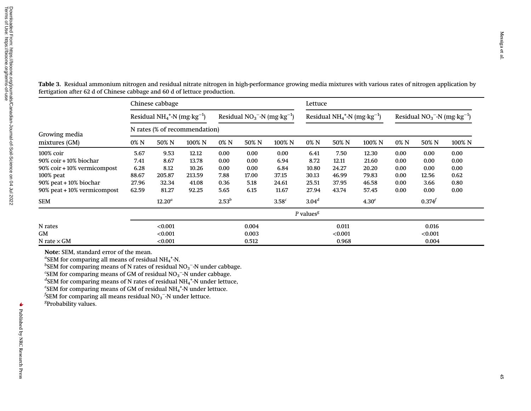|                             | Chinese cabbage               |                                             |        |            |                             |                   |                   | Lettuce                                     |                   |      |                            |        |  |
|-----------------------------|-------------------------------|---------------------------------------------|--------|------------|-----------------------------|-------------------|-------------------|---------------------------------------------|-------------------|------|----------------------------|--------|--|
|                             |                               | Residual $NH_4^+$ -N (mg·kg <sup>-1</sup> ) |        |            | Residual $NO3--N (mg kg-1)$ |                   |                   | Residual $NH_4^+$ -N (mg·kg <sup>-1</sup> ) |                   |      | Residual $NO3-N (mg kg-1)$ |        |  |
| Growing media               | N rates (% of recommendation) |                                             |        |            |                             |                   |                   |                                             |                   |      |                            |        |  |
| mixtures (GM)               | 0% N                          | 50% N                                       | 100% N | 0% N       | 50% N                       | 100% N            | 0% N              | 50% N                                       | 100% N            | 0% N | 50% N                      | 100% N |  |
| 100% coir                   | 5.67                          | 9.53                                        | 12.12  | 0.00       | 0.00                        | 0.00              | 6.41              | 7.50                                        | 12.30             | 0.00 | 0.00                       | 0.00   |  |
| 90% coir+10% biochar        | 7.41                          | 8.67                                        | 13.78  | 0.00       | 0.00                        | 6.94              | 8.72              | 12.11                                       | 21.60             | 0.00 | 0.00                       | 0.00   |  |
| 90% coir + 10% vermicompost | 6.28                          | 8.12                                        | 10.26  | 0.00       | 0.00                        | 6.84              | 10.80             | 24.27                                       | 20.20             | 0.00 | 0.00                       | 0.00   |  |
| 100% peat                   | 88.67                         | 205.87                                      | 213.59 | 7.88       | 17.00                       | 37.15             | 30.13             | 46.99                                       | 79.83             | 0.00 | 12.56                      | 0.62   |  |
| 90% peat + 10% biochar      | 27.96                         | 32.34                                       | 41.08  | 0.36       | 5.18                        | 24.61             | 25.51             | 37.95                                       | 46.58             | 0.00 | 3.66                       | 0.80   |  |
| 90% peat + 10% vermicompost | 62.59                         | 81.27                                       | 92.25  | 5.65       | 6.15                        | 11.67             | 27.94             | 43.74                                       | 57.45             | 0.00 | 0.00                       | 0.00   |  |
| SEM                         |                               | $12.20^a$                                   |        | $2.53^{b}$ |                             | 3.58 <sup>c</sup> | 3.04 <sup>d</sup> |                                             | 4.30 <sup>e</sup> |      | $0.374^{f}$                |        |  |
|                             |                               |                                             |        |            |                             |                   | $P$ values $g$    |                                             |                   |      |                            |        |  |
| N rates                     |                               | < 0.001                                     |        |            | 0.004                       |                   |                   | 0.011                                       |                   |      | 0.016                      |        |  |
| GM                          |                               | < 0.001                                     |        |            | 0.003                       |                   |                   | < 0.001                                     |                   |      | < 0.001                    |        |  |
| N rate $\times$ GM          |                               | < 0.001                                     |        |            | 0.512                       |                   |                   | 0.968                                       |                   |      | 0.004                      |        |  |

<span id="page-7-0"></span>Table 3. Residual ammonium nitrogen and residual nitrate nitrogen in high-performance growing media mixtures with various rates of nitrogen application by fertigation after 62 d of Chinese cabbage and 60 d of lettuce production.

Note: SEM, standard error of the mean.

 $\mathrm{^{a}SEM}$  for comparing all means of residual NH $_4$ +N.

 $b$ SEM for comparing means of N rates of residual NO<sub>3</sub><sup>-</sup>-N under cabbage.

 $\mathrm{c}$ SEM for comparing means of GM of residual NO<sub>3</sub><sup>-</sup>-N under cabbage.

 $^d$ SEM for comparing means of N rates of residual NH<sub>4</sub><sup>+</sup>-N under lettuce,

 $e^{\epsilon}$ SEM for comparing means of GM of residual NH<sub>4</sub><sup>+</sup>-N under lettuce.

 $f$ SEM for comparing all means residual NO<sub>3</sub><sup>-</sup>-N under lettuce.

<sup>g</sup>Probability values.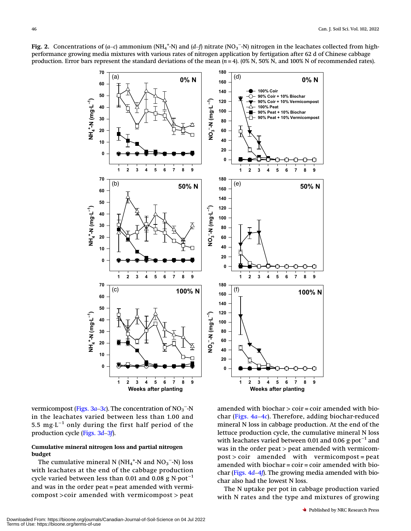

<span id="page-8-0"></span>Fig. 2. Concentrations of (a–c) ammonium (NH<sub>4</sub><sup>+</sup>-N) and (d–f) nitrate (NO<sub>3</sub><sup>-</sup>-N) nitrogen in the leachates collected from highperformance growing media mixtures with various rates of nitrogen application by fertigation after 62 d of Chinese cabbage production. Error bars represent the standard deviations of the mean  $(n=4)$ . (0% N, 50% N, and 100% N of recommended rates).

vermicompost ([Figs. 3](#page-9-0)a–[3](#page-9-0)c). The concentration of  $\text{NO}_3^{\,}$ – $\text{N}$ in the leachates varied between less than 1.00 and 5.5 mg $L^{-1}$  only during the first half period of the production cycle ([Figs. 3](#page-9-0)d–[3](#page-9-0)f).

#### Cumulative mineral nitrogen loss and partial nitrogen budget

The cumulative mineral N (NH<sub>4</sub><sup>+</sup>-N and NO<sub>3</sub><sup>--</sup>N) loss with leachates at the end of the cabbage production cycle varied between less than 0.01 and 0.08 g N·pot<sup>-1</sup> and was in the order peat = peat amended with vermicompost >coir amended with vermicompost > peat

amended with biochar  $>$  coir = coir amended with biochar ([Figs. 4](#page-10-0)a–[4](#page-10-0)c). Therefore, adding biochar-reduced mineral N loss in cabbage production. At the end of the lettuce production cycle, the cumulative mineral N loss with leachates varied between 0.01 and 0.06 g∙pot<sup>-1</sup> and was in the order peat > peat amended with vermicompost > coir amended with vermicompost = peat amended with  $biochar = coir = coir$  amended with  $bio$ char ([Figs. 4](#page-10-0)d–[4](#page-10-0)f). The growing media amended with biochar also had the lowest N loss.

The N uptake per pot in cabbage production varied with N rates and the type and mixtures of growing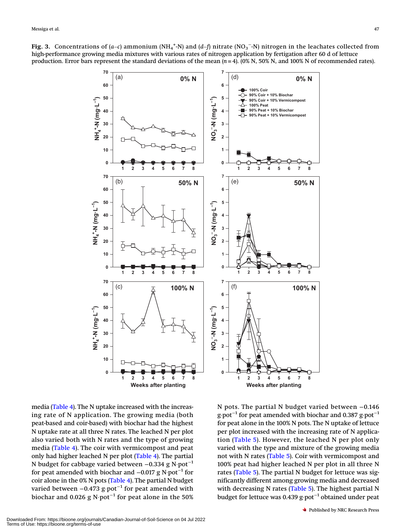<span id="page-9-0"></span>Fig. 3. Concentrations of (a–c) ammonium (NH4<sup>+</sup>-N) and (d–f) nitrate (NO<sub>3</sub><sup>–</sup>-N) nitrogen in the leachates collected from high-performance growing media mixtures with various rates of nitrogen application by fertigation after 60 d of lettuce production. Error bars represent the standard deviations of the mean  $(n=4)$ . (0% N, 50% N, and 100% N of recommended rates).



media [\(Table 4\)](#page-11-0). The N uptake increased with the increasing rate of N application. The growing media (both peat-based and coir-based) with biochar had the highest N uptake rate at all three N rates. The leached N per plot also varied both with N rates and the type of growing media ([Table 4](#page-11-0)). The coir with vermicompost and peat only had higher leached N per plot ([Table 4\)](#page-11-0). The partial N budget for cabbage varied between -0.334 g N·pot<sup>-1</sup> for peat amended with biochar and  $-0.017$  g N·pot<sup>-1</sup> for coir alone in the 0% N pots ([Table 4](#page-11-0)). The partial N budget varied between  $-0.473$  g·pot<sup>-1</sup> for peat amended with biochar and 0.026 g N·pot<sup>-1</sup> for peat alone in the 50%

N pots. The partial N budget varied between −0.146 g·pot<sup>-1</sup> for peat amended with biochar and 0.387 g·pot<sup>-1</sup> for peat alone in the 100% N pots. The N uptake of lettuce per plot increased with the increasing rate of N application ([Table 5\)](#page-12-0). However, the leached N per plot only varied with the type and mixture of the growing media not with N rates [\(Table 5\)](#page-12-0). Coir with vermicompost and 100% peat had higher leached N per plot in all three N rates ([Table 5](#page-12-0)). The partial N budget for lettuce was significantly different among growing media and decreased with decreasing N rates ([Table 5](#page-12-0)). The highest partial N budget for lettuce was 0.439 g·pot−<sup>1</sup> obtained under peat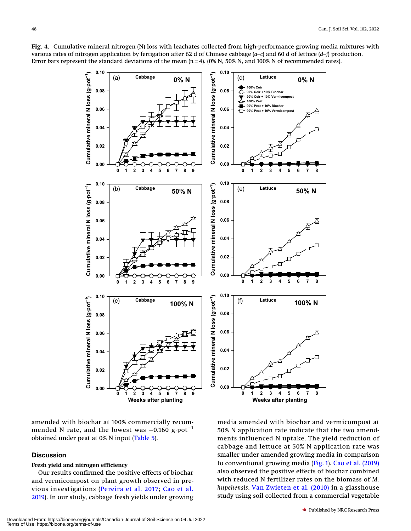<span id="page-10-0"></span>Fig. 4. Cumulative mineral nitrogen (N) loss with leachates collected from high-performance growing media mixtures with various rates of nitrogen application by fertigation after 62 d of Chinese cabbage  $(a-c)$  and 60 d of lettuce  $(d-f)$  production. Error bars represent the standard deviations of the mean  $(n=4)$ . (0% N, 50% N, and 100% N of recommended rates).



amended with biochar at 100% commercially recommended N rate, and the lowest was  $-0.160$  g·pot<sup>-1</sup> obtained under peat at 0% N input ([Table 5\)](#page-12-0).

# **Discussion**

#### Fresh yield and nitrogen efficiency

Our results confirmed the positive effects of biochar and vermicompost on plant growth observed in previous investigations ([Pereira et al. 2017](#page-14-1); [Cao et al.](#page-14-8) [2019\)](#page-14-8). In our study, cabbage fresh yields under growing

media amended with biochar and vermicompost at 50% N application rate indicate that the two amendments influenced N uptake. The yield reduction of cabbage and lettuce at 50% N application rate was smaller under amended growing media in comparison to conventional growing media ([Fig. 1\)](#page-6-0). [Cao et al. \(2019\)](#page-14-8) also observed the positive effects of biochar combined with reduced N fertilizer rates on the biomass of M. hupehensis. [Van Zwieten et al. \(2010\)](#page-14-9) in a glasshouse study using soil collected from a commercial vegetable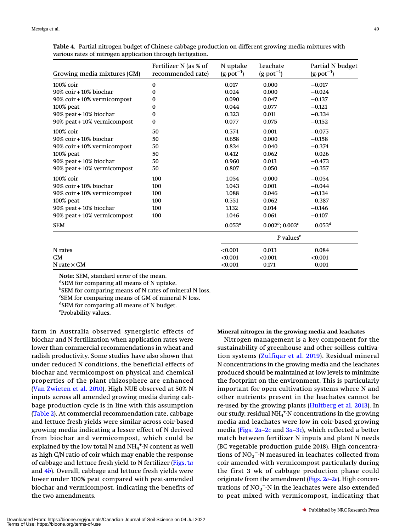<span id="page-11-0"></span>

| Table 4. Partial nitrogen budget of Chinese cabbage production on different growing media mixtures with |  |  |  |  |  |
|---------------------------------------------------------------------------------------------------------|--|--|--|--|--|
| various rates of nitrogen application through fertigation.                                              |  |  |  |  |  |

| Growing media mixtures (GM) | Fertilizer N (as % of<br>recommended rate) | N uptake<br>$(g \cdot pot^{-1})$ | Leachate<br>$(g \cdot pot^{-1})$     | Partial N budget<br>$(g \cdot pot^{-1})$ |
|-----------------------------|--------------------------------------------|----------------------------------|--------------------------------------|------------------------------------------|
| 100% coir                   | $\bf{0}$                                   | 0.017                            | 0.000                                | $-0.017$                                 |
| 90% coir + 10% biochar      | 0                                          | 0.024                            | 0.000                                | $-0.024$                                 |
| 90% coir + 10% vermicompost | 0                                          | 0.090                            | 0.047                                | $-0.137$                                 |
| 100% peat                   | 0                                          | 0.044                            | 0.077                                | $-0.121$                                 |
| 90% peat + 10% biochar      | 0                                          | 0.323                            | 0.011                                | $-0.334$                                 |
| 90% peat + 10% vermicompost | 0                                          | 0.077                            | 0.075                                | $-0.152$                                 |
| 100% coir                   | 50                                         | 0.574                            | 0.001                                | $-0.075$                                 |
| 90% coir + 10% biochar      | 50                                         | 0.658                            | 0.000                                | $-0.158$                                 |
| 90% coir + 10% vermicompost | 50                                         | 0.834                            | 0.040                                | $-0.374$                                 |
| 100% peat                   | 50                                         | 0.412                            | 0.062                                | 0.026                                    |
| 90% peat + 10% biochar      | 50                                         | 0.960                            | 0.013                                | $-0.473$                                 |
| 90% peat + 10% vermicompost | 50                                         | 0.807                            | 0.050                                | $-0.357$                                 |
| 100% coir                   | 100                                        | 1.054                            | 0.000                                | $-0.054$                                 |
| $90\%$ coir $+10\%$ biochar | 100                                        | 1.043                            | 0.001                                | $-0.044$                                 |
| 90% coir + 10% vermicompost | 100                                        | 1.088                            | 0.046                                | $-0.134$                                 |
| 100% peat                   | 100                                        | 0.551                            | 0.062                                | 0.387                                    |
| 90% peat + 10% biochar      | 100                                        | 1.132                            | 0.014                                | $-0.146$                                 |
| 90% peat + 10% vermicompost | 100                                        | 1.046                            | 0.061                                | $-0.107$                                 |
| <b>SEM</b>                  |                                            | $0.053^a$                        | $0.002^b$ ; $0.003^c$                | $0.053^d$                                |
|                             |                                            |                                  | $P$ values <sup><math>e</math></sup> |                                          |
| N rates                     |                                            | < 0.001                          | 0.013                                | 0.084                                    |
| <b>GM</b>                   |                                            | < 0.001                          | < 0.001                              | < 0.001                                  |
| N rate $\times$ GM          |                                            | < 0.001                          | 0.171                                | 0.001                                    |

Note: SEM, standard error of the mean.

SEM for comparing all means of N uptake.

<sup>b</sup>SEM for comparing means of N rates of mineral N loss.

<sup>c</sup>SEM for comparing means of GM of mineral N loss.

<sup>d</sup>SEM for comparing all means of N budget.

e Probability values.

farm in Australia observed synergistic effects of biochar and N fertilization when application rates were lower than commercial recommendations in wheat and radish productivity. Some studies have also shown that under reduced N conditions, the beneficial effects of biochar and vermicompost on physical and chemical properties of the plant rhizosphere are enhanced ([Van Zwieten et al. 2010\)](#page-14-9). High NUE observed at 50% N inputs across all amended growing media during cabbage production cycle is in line with this assumption ([Table 2](#page-5-0)). At commercial recommendation rate, cabbage and lettuce fresh yields were similar across coir-based growing media indicating a lesser effect of N derived from biochar and vermicompost, which could be explained by the low total N and  $\mathrm{NH_4}^+$ -N content as well as high C/N ratio of coir which may enable the response of cabbage and lettuce fresh yield to N fertilizer ([Figs. 1](#page-6-0)a and  $4b$  $4b$ ). Overall, cabbage and lettuce fresh yields were lower under 100% peat compared with peat-amended biochar and vermicompost, indicating the benefits of the two amendments.

Mineral nitrogen in the growing media and leachates

Nitrogen management is a key component for the sustainability of greenhouse and other soilless cultivation systems ([Zulfiqar et al. 2019\)](#page-14-0). Residual mineral N concentrations in the growing media and the leachates produced should be maintained at low levels to minimize the footprint on the environment. This is particularly important for open cultivation systems where N and other nutrients present in the leachates cannot be re-used by the growing plants [\(Hultberg et al. 2013\)](#page-14-17). In our study, residual NH<sub>4</sub><sup>+</sup>-N concentrations in the growing media and leachates were low in coir-based growing media (Figs.  $2a-2c$  $2a-2c$  and  $3a-3c$  $3a-3c$ ), which reflected a better match between fertilizer N inputs and plant N needs (BC vegetable production guide 2018). High concentrations of  $NO<sub>3</sub><sup>-</sup>-N$  measured in leachates collected from coir amended with vermicompost particularly during the first 3 wk of cabbage production phase could originate from the amendment (Figs.  $2c-2e$  $2c-2e$ ). High concentrations of  $NO_3^-$ -N in the leachates were also extended to peat mixed with vermicompost, indicating that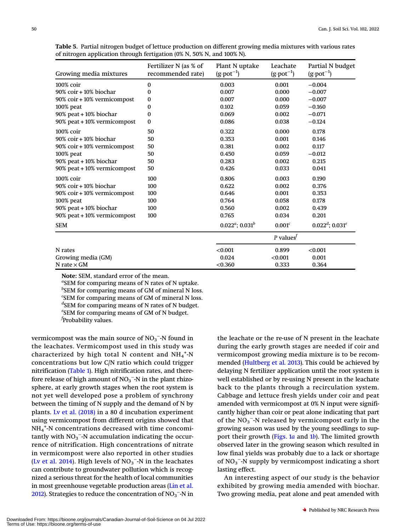| Growing media mixtures      | Fertilizer N (as % of<br>recommended rate) | Plant N uptake<br>$(g \cdot \text{pot}^{-1})$ | Leachate<br>$(g \cdot pot^{-1})$ | Partial N budget<br>$(g\cdot pot^{-1})$ |
|-----------------------------|--------------------------------------------|-----------------------------------------------|----------------------------------|-----------------------------------------|
| 100% coir                   | $\bf{0}$                                   | 0.003                                         | 0.001                            | $-0.004$                                |
| 90% coir + 10% biochar      | 0                                          | 0.007                                         | 0.000                            | $-0.007$                                |
| 90% coir + 10% vermicompost | 0                                          | 0.007                                         | 0.000                            | $-0.007$                                |
| $100\%$ peat                | 0                                          | 0.102                                         | 0.059                            | $-0.160$                                |
| 90% peat + 10% biochar      | 0                                          | 0.069                                         | 0.002                            | $-0.071$                                |
| 90% peat + 10% vermicompost | $\bf{0}$                                   | 0.086                                         | 0.038                            | $-0.124$                                |
| 100% coir                   | 50                                         | 0.322                                         | 0.000                            | 0.178                                   |
| 90% coir + 10% biochar      | 50                                         | 0.353                                         | 0.001                            | 0.146                                   |
| 90% coir + 10% vermicompost | 50                                         | 0.381                                         | 0.002                            | 0.117                                   |
| 100% peat                   | 50                                         | 0.450                                         | 0.059                            | $-0.012$                                |
| 90% peat + 10% biochar      | 50                                         | 0.283                                         | 0.002                            | 0.215                                   |
| 90% peat + 10% vermicompost | 50                                         | 0.426                                         | 0.033                            | 0.041                                   |
| 100% coir                   | 100                                        | 0.806                                         | 0.003                            | 0.190                                   |
| 90% coir + 10% biochar      | 100                                        | 0.622                                         | 0.002                            | 0.376                                   |
| 90% coir + 10% vermicompost | 100                                        | 0.646                                         | 0.001                            | 0.353                                   |
| 100% peat                   | 100                                        | 0.764                                         | 0.058                            | 0.178                                   |
| 90% peat + 10% biochar      | 100                                        | 0.560                                         | 0.002                            | 0.439                                   |
| 90% peat + 10% vermicompost | 100                                        | 0.765                                         | 0.034                            | 0.201                                   |
| <b>SEM</b>                  |                                            | $0.022^a$ ; $0.031^b$                         | 0.001 <sup>c</sup>               | $0.022^d$ ; $0.031^e$                   |
|                             |                                            |                                               | P values $f$                     |                                         |
| N rates                     |                                            | < 0.001                                       | 0.899                            | < 0.001                                 |
| Growing media (GM)          |                                            | 0.024                                         | < 0.001                          | 0.001                                   |
| N rate $\times$ GM          |                                            | < 0.360                                       | 0.333                            | 0.364                                   |

<span id="page-12-0"></span>Table 5. Partial nitrogen budget of lettuce production on different growing media mixtures with various rates of nitrogen application through fertigation (0% N, 50% N, and 100% N).

Note: SEM, standard error of the mean.

<sup>a</sup>SEM for comparing means of N rates of N uptake. <sup>b</sup>SEM for comparing means of GM of mineral N loss. <sup>c</sup>SEM for comparing means of GM of mineral N loss. <sup>d</sup>SEM for comparing means of N rates of N budget. e SEM for comparing means of GM of N budget. f Probability values.

vermicompost was the main source of  $NO_3$ <sup>-</sup>-N found in the leachates. Vermicompost used in this study was characterized by high total N content and  $\mathrm{NH}_4{}^{\texttt{+}}\text{-N}$ concentrations but low C/N ratio which could trigger nitrification ([Table 1](#page-3-0)). High nitrification rates, and therefore release of high amount of  $NO_3$ <sup>-</sup>-N in the plant rhizosphere, at early growth stages when the root system is not yet well developed pose a problem of synchrony between the timing of N supply and the demand of N by plants. [Lv et al. \(2018\)](#page-14-18) in a 80 d incubation experiment using vermicompost from different origins showed that NH4 + -N concentrations decreased with time concomitantly with  $NO_3^-$ -N accumulation indicating the occurrence of nitrification. High concentrations of nitrate in vermicompost were also reported in other studies ([Lv et al. 2014\)](#page-14-19). High levels of  $NO_3^-$ -N in the leachates can contribute to groundwater pollution which is recognized a serious threat for the health of local communities in most greenhouse vegetable production areas [\(Lin et al.](#page-14-20) [2012\)](#page-14-20). Strategies to reduce the concentration of  $NO_3$ <sup>-</sup>-N in

the leachate or the re-use of N present in the leachate during the early growth stages are needed if coir and vermicompost growing media mixture is to be recommended [\(Hultberg et al. 2013\)](#page-14-17). This could be achieved by delaying N fertilizer application until the root system is well established or by re-using N present in the leachate back to the plants through a recirculation system. Cabbage and lettuce fresh yields under coir and peat amended with vermicompost at 0% N input were significantly higher than coir or peat alone indicating that part of the  $NO_3^-$ -N released by vermicompost early in the growing season was used by the young seedlings to sup-port their growth ([Figs. 1](#page-6-0)a and  $1b$  $1b$ ). The limited growth observed later in the growing season which resulted in low final yields was probably due to a lack or shortage of  $NO_3^-$ -N supply by vermicompost indicating a short lasting effect.

An interesting aspect of our study is the behavior exhibited by growing media amended with biochar. Two growing media, peat alone and peat amended with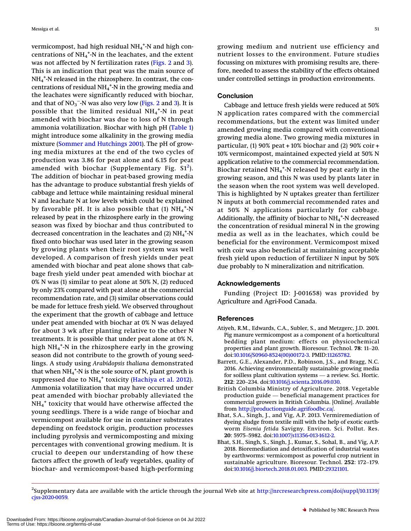vermicompost, had high residual NH<sub>4</sub><sup>+</sup>-N and high concentrations of  $\mathrm{NH}_4{}^{\text{*}}\textrm{-N}$  in the leachates, and the extent was not affected by N fertilization rates ([Figs. 2](#page-8-0) and [3\)](#page-9-0). This is an indication that peat was the main source of NH4 + -N released in the rhizosphere. In contrast, the con- $\epsilon$  centrations of residual NH $_4^{\text{+}}$ -N in the growing media and the leachates were significantly reduced with biochar, and that of  $NO_3^ NO_3^ NO_3^-$ -N was also very low [\(Figs. 2](#page-8-0) and 3). It is possible that the limited residual  $\text{NH}_4{}^{\text{*}}\text{-}\text{N}$  in peat amended with biochar was due to loss of N through ammonia volatilization. Biochar with high pH ([Table 1](#page-3-0)) might introduce some alkalinity in the growing media mixture [\(Sommer and Hutchings 2001](#page-14-21)). The pH of growing media mixtures at the end of the two cycles of production was 3.86 for peat alone and 6.15 for peat amended with biochar (Supplementary Fig.  $\mathrm{S1}^2$  $\mathrm{S1}^2$ ). The addition of biochar in peat-based growing media has the advantage to produce substantial fresh yields of cabbage and lettuce while maintaining residual mineral N and leachate N at low levels which could be explained by favorable pH. It is also possible that  $(1)$   $NH_4^{\,+}$ -N released by peat in the rhizosphere early in the growing season was fixed by biochar and thus contributed to decreased concentration in the leachates and (2)  $\mathrm{NH}_4$ <sup>+</sup>-N fixed onto biochar was used later in the growing season by growing plants when their root system was well developed. A comparison of fresh yields under peat amended with biochar and peat alone shows that cabbage fresh yield under peat amended with biochar at 0% N was (1) similar to peat alone at 50% N, (2) reduced by only 23% compared with peat alone at the commercial recommendation rate, and (3) similar observations could be made for lettuce fresh yield. We observed throughout the experiment that the growth of cabbage and lettuce under peat amended with biochar at 0% N was delayed for about 3 wk after planting relative to the other N treatments. It is possible that under peat alone at 0% N, high NH<sub>4</sub><sup>+</sup>-N in the rhizosphere early in the growing season did not contribute to the growth of young seedlings. A study using Arabidopsis thaliana demonstrated that when  $\mathrm{NH_4}^{+}$ -N is the sole source of N, plant growth is suppressed due to NH<sub>4</sub><sup>+</sup> toxicity ([Hachiya et al. 2012\)](#page-14-22). Ammonia volatilization that may have occurred under peat amended with biochar probably alleviated the  $NH_4^+$  toxicity that would have otherwise affected the young seedlings. There is a wide range of biochar and vermicompost available for use in container substrates depending on feedstock origin, production processes including pyrolysis and vermicomposting and mixing percentages with conventional growing medium. It is crucial to deepen our understanding of how these factors affect the growth of leafy vegetables, quality of biochar- and vermicompost-based high-performing

growing medium and nutrient use efficiency and nutrient losses to the environment. Future studies focussing on mixtures with promising results are, therefore, needed to assess the stability of the effects obtained under controlled settings in production environments.

#### **Conclusion**

Cabbage and lettuce fresh yields were reduced at 50% N application rates compared with the commercial recommendations, but the extent was limited under amended growing media compared with conventional growing media alone. Two growing media mixtures in particular, (1) 90% peat  $+10%$  biochar and (2) 90% coir  $+$ 10% vermicompost, maintained expected yield at 50% N application relative to the commercial recommendation. Biochar retained  $\mathrm{NH}_4{}^{\texttt{+}}\textrm{-N}$  released by peat early in the growing season, and this N was used by plants later in the season when the root system was well developed. This is highlighted by N uptakes greater than fertilizer N inputs at both commercial recommended rates and at 50% N applications particularly for cabbage. Additionally, the affinity of biochar to  $\mathrm{NH}_4{}^{\texttt{+}}\mathrm{N}$  decreased the concentration of residual mineral N in the growing media as well as in the leachates, which could be beneficial for the environment. Vermicompost mixed with coir was also beneficial at maintaining acceptable fresh yield upon reduction of fertilizer N input by 50% due probably to N mineralization and nitrification.

#### Acknowledgements

Funding (Project ID: J-001658) was provided by Agriculture and Agri-Food Canada.

#### <span id="page-13-3"></span>**References**

- Atiyeh, R.M., Edwards, C.A., Subler, S., and Metzgerc, J.D. 2001. Pig manure vermicompost as a component of a horticultural bedding plant medium: effects on physicochemical properties and plant growth. Bioresour. Technol. <sup>78</sup>: 11–20. doi[:10.1016/S0960-8524\(00\)00172-3](http://dx.doi.org/10.1016/S0960-8524(00)00172-3). PMID:[11265782](http://dx.doi.org/11265782).
- <span id="page-13-0"></span>Barrett, G.E., Alexander, P.D., Robinson, J.S., and Bragg, N.C. 2016. Achieving environmentally sustainable growing media for soilless plant cultivation systems — a review. Sci. Hortic. <sup>212</sup>: 220–234. doi[:10.1016/j.scienta.2016.09.030.](http://dx.doi.org/10.1016/j.scienta.2016.09.030)
- <span id="page-13-4"></span>British Columbia Ministry of Agriculture. 2018. Vegetable production guide — beneficial management practices for commercial growers in British Columbia. [Online]. Available from <http://productionguide.agrifoodbc.ca/>.
- <span id="page-13-2"></span>Bhat, S.A., Singh, J., and Vig, A.P. 2013. Vermiremediation of dyeing sludge from textile mill with the help of exotic earthworm Eisenia fetida Savigny. Environ. Sci. Pollut. Res. <sup>20</sup>: 5975–5982. doi[:10.1007/s11356-013-1612-2.](http://dx.doi.org/10.1007/s11356-013-1612-2)
- <span id="page-13-1"></span>Bhat, S.H., Singh, S., Singh, J., Kumar, S., Sohal, B., and Vig, A.P. 2018. Bioremediation and detoxification of industrial wastes by earthworms: vermicompost as powerful crop nutrient in sustainable agriculture. Bioresour. Technol. <sup>252</sup>: 172–179. doi[:10.1016/j.biortech.2018.01.003](http://dx.doi.org/10.1016/j.biortech.2018.01.003). PMID[:29321101](http://dx.doi.org/29321101).

<span id="page-13-5"></span> $^2$ Supplementary data are available with the article through the journal Web site at [http://nrcresearchpress.com/doi/suppl/10.1139/](http://nrcresearchpress.com/doi/suppl/10.1139/cjss-2020-0059) [cjss-2020-0059.](http://nrcresearchpress.com/doi/suppl/10.1139/cjss-2020-0059)